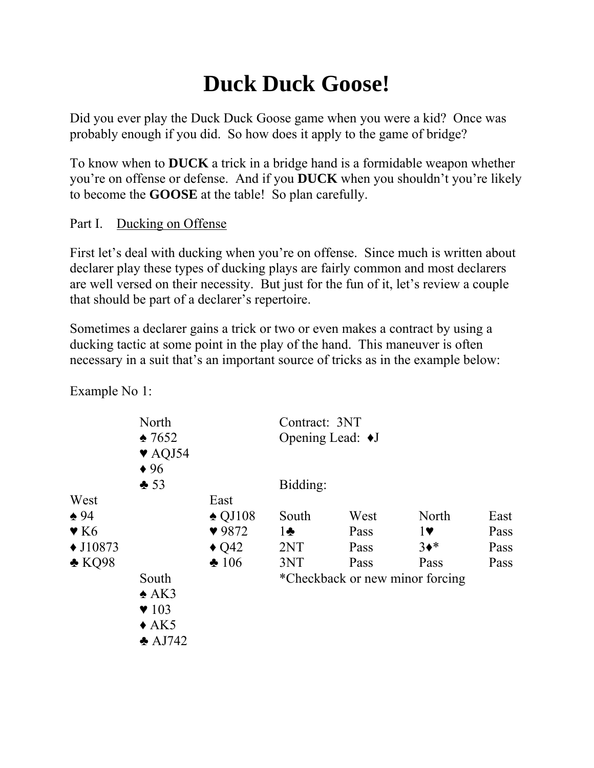## **Duck Duck Goose!**

Did you ever play the Duck Duck Goose game when you were a kid? Once was probably enough if you did. So how does it apply to the game of bridge?

To know when to **DUCK** a trick in a bridge hand is a formidable weapon whether you're on offense or defense. And if you **DUCK** when you shouldn't you're likely to become the **GOOSE** at the table! So plan carefully.

Part I. Ducking on Offense

First let's deal with ducking when you're on offense. Since much is written about declarer play these types of ducking plays are fairly common and most declarers are well versed on their necessity. But just for the fun of it, let's review a couple that should be part of a declarer's repertoire.

Sometimes a declarer gains a trick or two or even makes a contract by using a ducking tactic at some point in the play of the hand. This maneuver is often necessary in a suit that's an important source of tricks as in the example below:

|                                     | North<br>$\triangle 7652$<br>$\blacktriangledown$ AQJ54<br>$\bullet$ 96                      |                   |              | Contract: 3NT<br>Opening Lead: $\blacklozenge J$ |                                 |      |  |  |
|-------------------------------------|----------------------------------------------------------------------------------------------|-------------------|--------------|--------------------------------------------------|---------------------------------|------|--|--|
|                                     | $*53$                                                                                        |                   | Bidding:     |                                                  |                                 |      |  |  |
| West                                |                                                                                              | East              |              |                                                  |                                 |      |  |  |
| $\triangle 94$                      |                                                                                              | $\triangle$ QJ108 | South        | West                                             | North                           | East |  |  |
| $\blacktriangledown$ K <sub>6</sub> |                                                                                              | 9872              | $1\clubsuit$ | Pass                                             | 1                               | Pass |  |  |
| $\triangle$ J10873                  |                                                                                              | $\triangle$ Q42   | 2NT          | Pass                                             | $3*$                            | Pass |  |  |
| $\triangle$ KQ98                    |                                                                                              | $\clubsuit 106$   | 3NT          | Pass                                             | Pass                            | Pass |  |  |
|                                     | South<br>$\triangle$ AK3<br>$\blacktriangledown$ 103<br>$\triangle$ AK5<br>$\triangle$ AJ742 |                   |              |                                                  | *Checkback or new minor forcing |      |  |  |

Example No 1: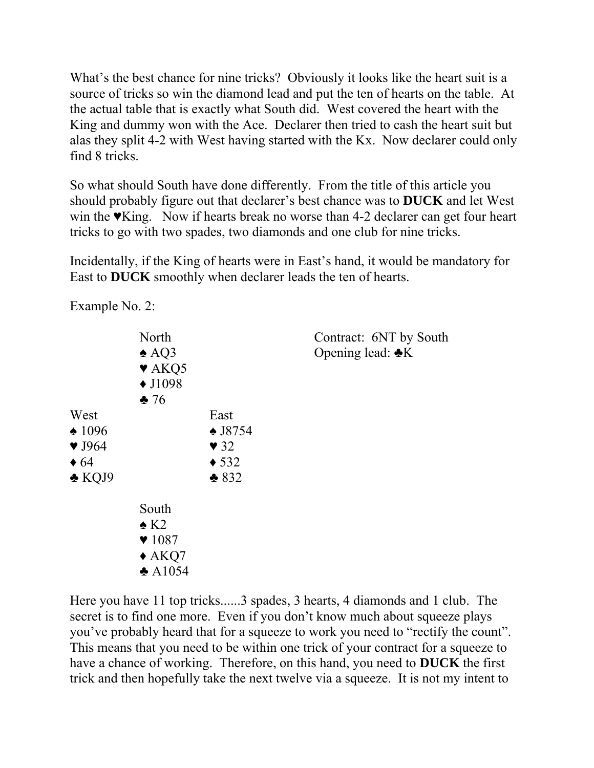What's the best chance for nine tricks? Obviously it looks like the heart suit is a source of tricks so win the diamond lead and put the ten of hearts on the table. At the actual table that is exactly what South did. West covered the heart with the King and dummy won with the Ace. Declarer then tried to cash the heart suit but alas they split 4-2 with West having started with the Kx. Now declarer could only find 8 tricks.

So what should South have done differently. From the title of this article you should probably figure out that declarer's best chance was to **DUCK** and let West win the ♥King. Now if hearts break no worse than 4-2 declarer can get four heart tricks to go with two spades, two diamonds and one club for nine tricks.

Incidentally, if the King of hearts were in East's hand, it would be mandatory for East to **DUCK** smoothly when declarer leads the ten of hearts.

Example No. 2:

|                                                                                                 | North<br>$\triangle$ AQ3<br>$\blacktriangledown$ AKQ5<br>$\triangle$ J1098<br>$\clubsuit$ 76              |                                                                                       | Contract: 6NT by South<br>Opening lead: $\triangle K$ |
|-------------------------------------------------------------------------------------------------|-----------------------------------------------------------------------------------------------------------|---------------------------------------------------------------------------------------|-------------------------------------------------------|
| West<br>$\triangle$ 1096<br>$\blacktriangledown$ J964<br>$\triangleleft 64$<br>$\triangle$ KQJ9 |                                                                                                           | East<br>$\triangle$ J8754<br>$\blacktriangledown$ 32<br>$\triangleleft$ 532<br>$*832$ |                                                       |
|                                                                                                 | South<br>$\triangle$ K2<br>$\blacktriangledown$ 1087<br>$\triangle$ AKQ7<br>$\triangle$ A <sub>1054</sub> |                                                                                       |                                                       |

Here you have 11 top tricks......3 spades, 3 hearts, 4 diamonds and 1 club. The secret is to find one more. Even if you don't know much about squeeze plays you've probably heard that for a squeeze to work you need to "rectify the count". This means that you need to be within one trick of your contract for a squeeze to have a chance of working. Therefore, on this hand, you need to **DUCK** the first trick and then hopefully take the next twelve via a squeeze. It is not my intent to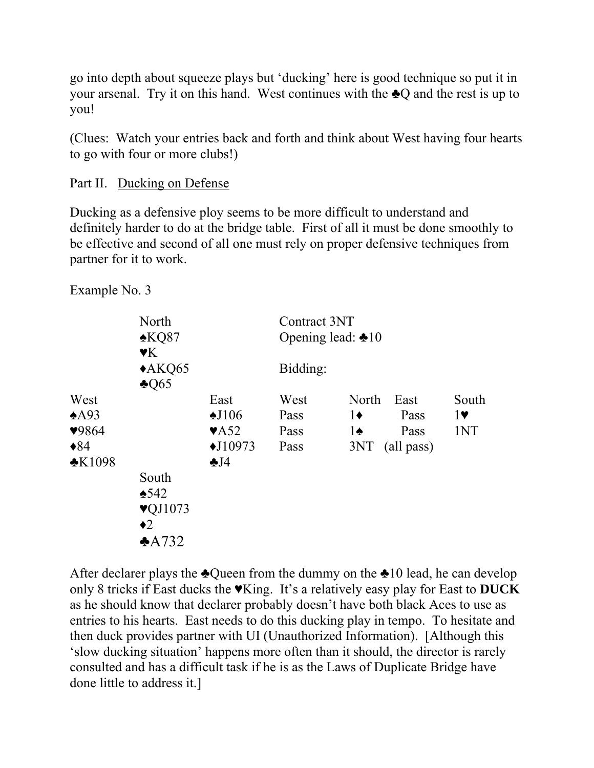go into depth about squeeze plays but 'ducking' here is good technique so put it in your arsenal. Try it on this hand. West continues with the ♣Q and the rest is up to you!

(Clues: Watch your entries back and forth and think about West having four hearts to go with four or more clubs!)

Part II. Ducking on Defense

Ducking as a defensive ploy seems to be more difficult to understand and definitely harder to do at the bridge table. First of all it must be done smoothly to be effective and second of all one must rely on proper defensive techniques from partner for it to work.

Example No. 3

|                                                                   | North<br>$*KQ87$<br>$\mathbf{Y}$ K                                         |                                                                                              | Contract 3NT<br>Opening lead: $\triangle 10$ |                                             |                                    |                                       |  |
|-------------------------------------------------------------------|----------------------------------------------------------------------------|----------------------------------------------------------------------------------------------|----------------------------------------------|---------------------------------------------|------------------------------------|---------------------------------------|--|
|                                                                   | $*AKQ65$<br>$\triangle$ Q65                                                |                                                                                              | Bidding:                                     |                                             |                                    |                                       |  |
| West<br>$*$ A $93$<br>9864<br>$\blacklozenge 84$<br>$\cdot$ K1098 | South<br>$*542$<br>$\blacktriangledown$ VQJ1073<br>$\bullet$ 2<br>$*$ A732 | East<br>$\triangle$ J106<br>$\blacktriangledown$ A52<br>$\triangle$ J10973<br>$\clubsuit$ J4 | West<br>Pass<br>Pass<br>Pass                 | North<br>$1\bullet$<br>$1\spadesuit$<br>3NT | East<br>Pass<br>Pass<br>(all pass) | South<br>$1\blacktriangledown$<br>1NT |  |

After declarer plays the  $\triangle Q$ ueen from the dummy on the  $\triangle 10$  lead, he can develop only 8 tricks if East ducks the ♥King. It's a relatively easy play for East to **DUCK**  as he should know that declarer probably doesn't have both black Aces to use as entries to his hearts. East needs to do this ducking play in tempo. To hesitate and then duck provides partner with UI (Unauthorized Information). [Although this 'slow ducking situation' happens more often than it should, the director is rarely consulted and has a difficult task if he is as the Laws of Duplicate Bridge have done little to address it.]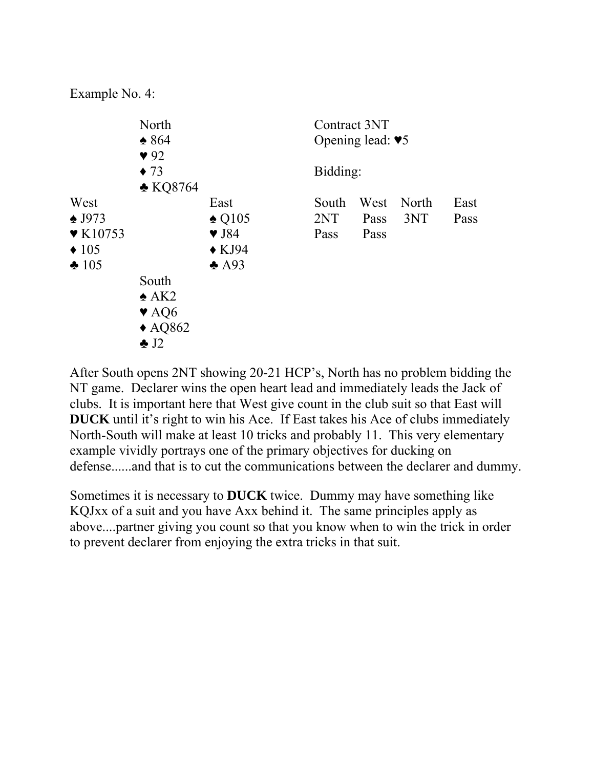Example No. 4:



After South opens 2NT showing 20-21 HCP's, North has no problem bidding the NT game. Declarer wins the open heart lead and immediately leads the Jack of clubs. It is important here that West give count in the club suit so that East will **DUCK** until it's right to win his Ace. If East takes his Ace of clubs immediately North-South will make at least 10 tricks and probably 11. This very elementary example vividly portrays one of the primary objectives for ducking on defense......and that is to cut the communications between the declarer and dummy.

Sometimes it is necessary to **DUCK** twice. Dummy may have something like KQJxx of a suit and you have Axx behind it. The same principles apply as above....partner giving you count so that you know when to win the trick in order to prevent declarer from enjoying the extra tricks in that suit.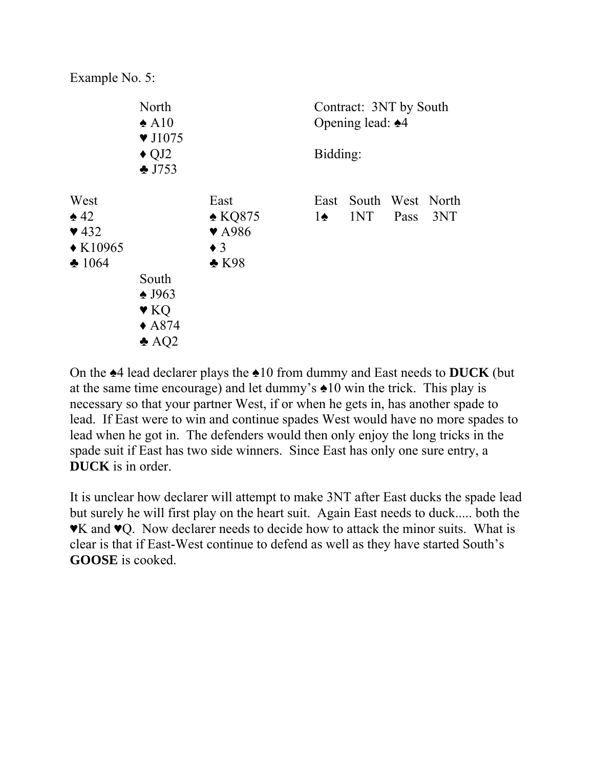Example No. 5:



On the ♠4 lead declarer plays the ♠10 from dummy and East needs to **DUCK** (but at the same time encourage) and let dummy's ♠10 win the trick. This play is necessary so that your partner West, if or when he gets in, has another spade to lead. If East were to win and continue spades West would have no more spades to lead when he got in. The defenders would then only enjoy the long tricks in the spade suit if East has two side winners. Since East has only one sure entry, a **DUCK** is in order.

It is unclear how declarer will attempt to make 3NT after East ducks the spade lead but surely he will first play on the heart suit. Again East needs to duck..... both the ♥K and ♥Q. Now declarer needs to decide how to attack the minor suits. What is clear is that if East-West continue to defend as well as they have started South's **GOOSE** is cooked.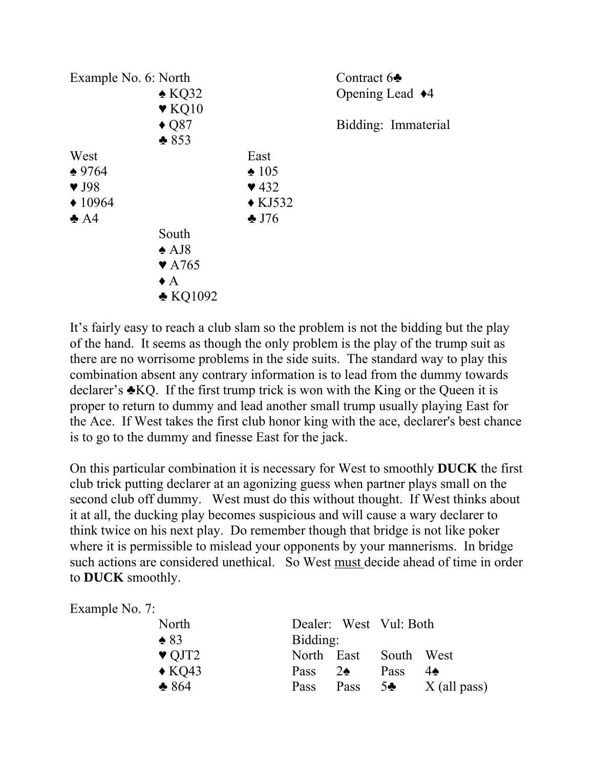

It's fairly easy to reach a club slam so the problem is not the bidding but the play of the hand. It seems as though the only problem is the play of the trump suit as there are no worrisome problems in the side suits. The standard way to play this combination absent any contrary information is to lead from the dummy towards declarer's ♣KQ. If the first trump trick is won with the King or the Queen it is proper to return to dummy and lead another small trump usually playing East for the Ace. If West takes the first club honor king with the ace, declarer's best chance is to go to the dummy and finesse East for the jack.

On this particular combination it is necessary for West to smoothly **DUCK** the first club trick putting declarer at an agonizing guess when partner plays small on the second club off dummy. West must do this without thought. If West thinks about it at all, the ducking play becomes suspicious and will cause a wary declarer to think twice on his next play. Do remember though that bridge is not like poker where it is permissible to mislead your opponents by your mannerisms. In bridge such actions are considered unethical. So West must decide ahead of time in order to **DUCK** smoothly.

| Example No. 7:            |          |               |                        |                |
|---------------------------|----------|---------------|------------------------|----------------|
| North                     |          |               | Dealer: West Vul: Both |                |
| $\triangle$ 83            | Bidding: |               |                        |                |
| $\blacktriangledown$ QJT2 |          | North East    | South West             |                |
| $\triangle$ KQ43          | Pass     | $2\spadesuit$ | Pass                   | $4\spadesuit$  |
| $*864$                    | Pass     | Pass          | 5                      | $X$ (all pass) |